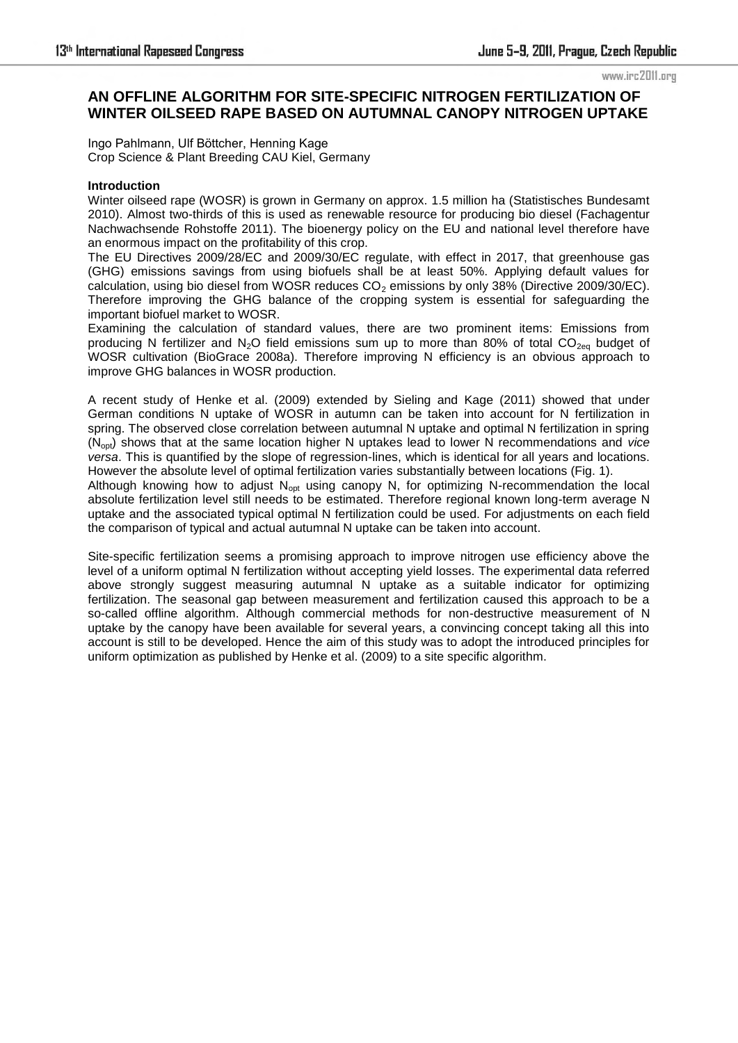www.irc2011.org

# **AN OFFLINE ALGORITHM FOR SITE-SPECIFIC NITROGEN FERTILIZATION OF WINTER OILSEED RAPE BASED ON AUTUMNAL CANOPY NITROGEN UPTAKE**

Ingo Pahlmann, Ulf Böttcher, Henning Kage Crop Science & Plant Breeding CAU Kiel, Germany

## **Introduction**

Winter oilseed rape (WOSR) is grown in Germany on approx. 1.5 million ha (Statistisches Bundesamt 2010). Almost two-thirds of this is used as [renewable](http://dict.leo.org/ende?lp=ende&p=Ci4HO3kMAA&search=renewable&trestr=0x8001) [resource](http://dict.leo.org/ende?lp=ende&p=Ci4HO3kMAA&search=resource&trestr=0x8001) for producing bio diesel (Fachagentur Nachwachsende Rohstoffe 2011). The bioenergy [policy](http://dict.leo.org/ende?lp=ende&p=Ci4HO3kMAA&search=policy&trestr=0x8001) on the EU and national level therefore have an enormous impact on the [profitability](http://dict.leo.org/ende?lp=ende&p=Ci4HO3kMAA&search=profitability&trestr=0x8001) of this crop.

The EU Directives 2009/28/EC and 2009/30/EC regulate, with effect in 2017, that greenhouse gas (GHG) emissions savings from using biofuels shall be at least 50%. Applying default values for calculation, using bio diesel from WOSR reduces  $CO<sub>2</sub>$  emissions by only 38% (Directive 2009/30/EC). Therefore improving the GHG balance of the cropping system is essential for safeguarding the important biofuel market to WOSR.

Examining the calculation of standard values, there are two prominent items: Emissions from producing N fertilizer and N<sub>2</sub>O field emissions sum up to more than 80% of total CO<sub>2eq</sub> budget of WOSR cultivation (BioGrace 2008a). Therefore improving N efficiency is an [obvious](http://dict.leo.org/ende?lp=ende&p=Ci4HO3kMAA&search=obvious&trestr=0x8004) approach to improve GHG balances in WOSR production.

A recent study of Henke et al. (2009) [extended](http://dict.leo.org/ende?lp=ende&p=Ci4HO3kMAA&search=extended&trestr=0x8004) by Sieling and Kage (2011) showed that under German conditions N uptake of WOSR in autumn can be taken into account for N fertilization in spring. The observed close correlation between autumnal N uptake and optimal N fertilization in spring (Nopt) shows that at the same location higher N uptakes lead to lower N recommendations and *vice versa*. This is quantified by the slope of regression-lines, which is identical for all years and locations. However the absolute level of optimal fertilization varies [substantiall](http://dict.leo.org/ende?lp=ende&p=Ci4HO3kMAA&search=substantial&trestr=0x8004)y between locations (Fig. 1).

Although knowing how to adjust  $N_{\text{oot}}$  using canopy N, for optimizing N-recommendation the local absolute fertilization level still needs to be [estimated.](http://dict.leo.org/ende?lp=ende&p=Ci4HO3kMAA&search=approximated&trestr=0x8004) Therefore regional known long-term average N uptake and the [associated](http://dict.leo.org/ende?lp=ende&p=Ci4HO3kMAA&search=associated&trestr=0x8004) typical optimal N fertilization could be used. For adjustments on each field the comparison of typical and actual autumnal N uptake can be taken into account.

Site-specific fertilization seems a promising approach to improve nitrogen use efficiency above the level of a uniform optimal N fertilization without [accepti](http://dict.leo.org/ende?lp=ende&p=Ci4HO3kMAA&search=accept&trestr=0x8002)ng yield losses. The experimental data referred above strongly [suggest](http://dict.leo.org/ende?lp=ende&p=Ci4HO3kMAA&search=suggest&trestr=0x8002) measuring autumnal N uptake as a suitable indicator for optimizing fertilization. The seasonal gap between measurement and fertilization caused this approach to be a so-called offline algorithm. Although commercial methods for non-destructive measurement of N uptake by the canopy have been available for several years, a convincing concept taking all this into account is still to be developed. Hence the aim of this study was to adopt the introduced principles for uniform optimization as published by Henke et al. (2009) to a site specific algorithm.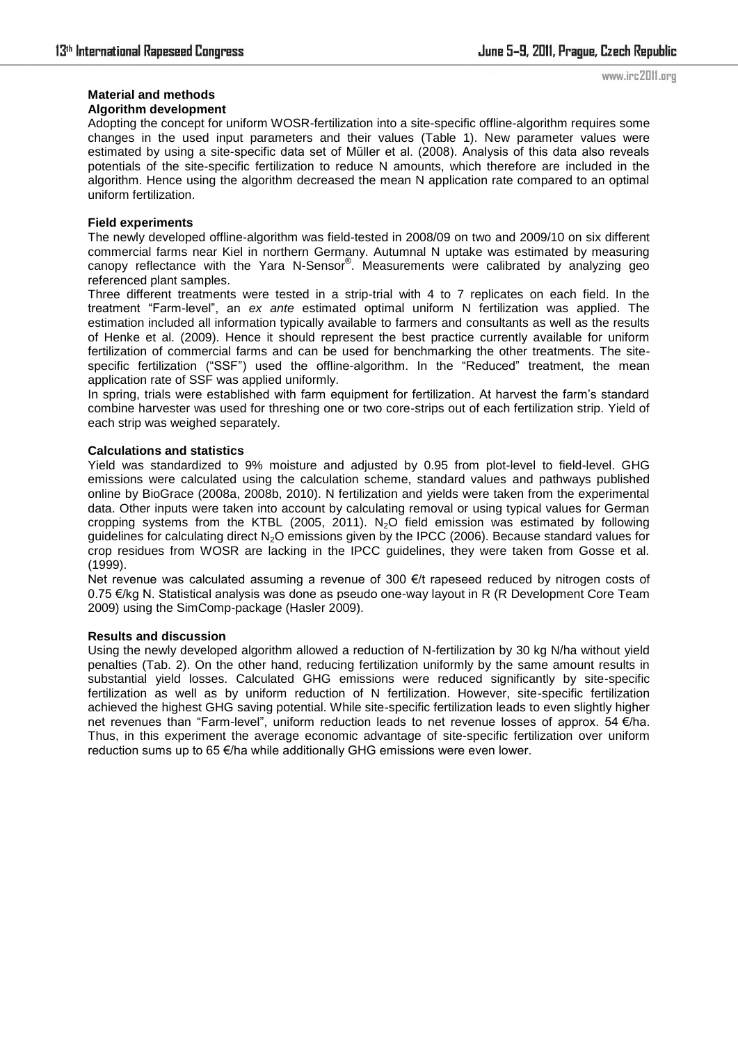#### **Material and methods Algorithm development**

Adopting the concept for uniform WOSR-fertilization into a site-specific offline-algorithm requires some changes in the used input parameters and their values (Table 1). New parameter values were estimated by using a site-specific data set of Müller et al. (2008). Analysis of this data also reveals potentials of the site-specific fertilization to reduce N amounts, which therefore are [included](http://dict.leo.org/ende?lp=ende&p=Ci4HO3kMAA&search=include&trestr=0x8002) in the algorithm. Hence using the algorithm decreased the mean N application rate compared to an optimal uniform fertilization.

## **Field experiments**

The newly developed offline-algorithm was field-tested in 2008/09 on two and 2009/10 on six different commercial farms near Kiel in northern Germany. Autumnal N uptake was estimated by measuring canopy reflectance with the Yara N-Sensor®. Measurements were calibrated by analyzing geo referenced plant samples.

Three different treatments were tested in a strip-trial with 4 to 7 replicates on each field. In the treatment ―Farm-level‖, an *ex ante* estimated optimal uniform N fertilization was applied. The estimation included all information typically available to farmers and [consultants](http://dict.leo.org/ende?lp=ende&p=Ci4HO3kMAA&search=consultant&trestr=0x8001) as well as the results of Henke et al. (2009). Hence it should represent the best practice currently available for uniform fertilization of commercial farms and can be used for benchmarking the other treatments. The sitespecific fertilization ("SSF") used the offline-algorithm. In the "Reduced" treatment, the mean application rate of SSF was applied uniformly.

In spring, trials were established with farm equipment for fertilization. At harvest the farm's standard combine harvester was used for threshing one or two core-strips out of each fertilization strip. Yield of each strip was weighed separately.

## **Calculations and statistics**

Yield was [standardized](http://dict.leo.org/ende?lp=ende&p=Ci4HO3kMAA&search=standardized&trestr=0x8004) to 9% moisture and adjusted by 0.95 from plot-level to field-level. GHG emissions were calculated using the calculation scheme, standard values and pathways published online by BioGrace (2008a, 2008b, 2010). N fertilization and yields were taken from the experimental data. Other inputs were taken into account by calculating removal or using typical values for German cropping systems from the KTBL (2005, 2011). N<sub>2</sub>O field emission was estimated by following guidelines for calculating direct  $N<sub>2</sub>O$  emissions given by the IPCC (2006). Because standard values for crop residues from WOSR are lacking in the IPCC guidelines, they were taken from Gosse et al. (1999).

Net revenue was calculated assuming a revenue of 300 €/t rapeseed [reduced](http://dict.leo.org/ende?lp=ende&p=Ci4HO3kMAA&search=reduced&trestr=0x8004) by nitrogen costs of 0.75 €/kg N. Statistical analysis was done as pseudo one-way layout in R (R Development Core Team 2009) using the SimComp-package (Hasler 2009).

### **Results and discussion**

Using the newly developed algorithm allowed a reduction of N-fertilization by 30 kg N/ha without yield penalties (Tab. 2). On the other hand, reducing fertilization uniformly by the same amount results in substantial yield losses. Calculated GHG emissions were reduced significantly by site-specific fertilization as well as by uniform reduction of N fertilization. However, site-specific fertilization achieved the highest GHG saving potential. While site-specific fertilization leads to even slightly higher net revenues than "Farm-level", uniform reduction leads to net revenue losses of approx. 54 €/ha. Thus, in this experiment the average economic advantage of site-specific fertilization over uniform reduction sums up to  $65 \in \forall h$ a while additionally GHG emissions were even lower.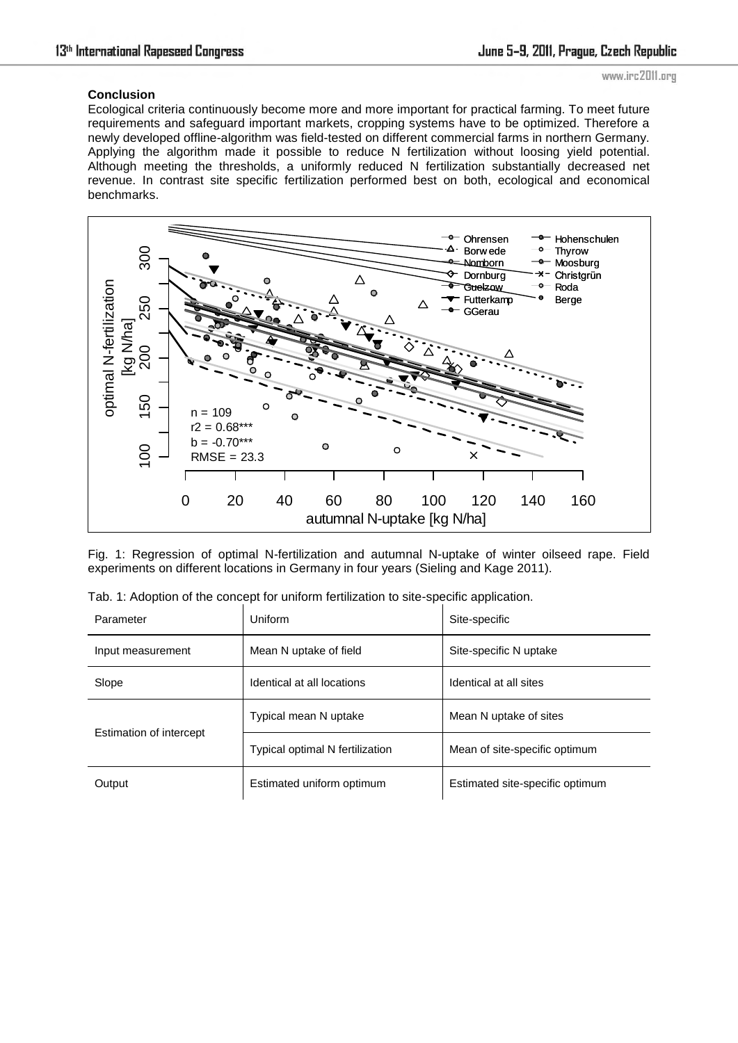### www.irc2011.org

# **Conclusion**

Ecological criteria continuously [become](http://dict.leo.org/ende?lp=ende&p=Ci4HO3kMAA&search=become&trestr=0x8002) [more](http://dict.leo.org/ende?lp=ende&p=Ci4HO3kMAA&search=more&trestr=0x8002) and more [important](http://dict.leo.org/ende?lp=ende&p=Ci4HO3kMAA&search=important&trestr=0x8002) for practical farming. To meet future requirements and safeguard important markets, cropping systems have to be optimized. Therefore a newly developed offline-algorithm was field-tested on different commercial farms in northern Germany. Applying the algorithm made it possible to reduce N fertilization without loosing yield potential. [Although](http://dict.leo.org/ende?lp=ende&p=Ci4HO3kMAA&search=although&trestr=0x8008) meeting the thresholds, a uniformly reduced N fertilization substantially decreased net revenue. In contrast site specific fertilization performed best on both, ecological and economical benchmarks.



Fig. 1: Regression of optimal N-fertilization and autumnal N-uptake of winter oilseed rape. Field experiments on different locations in Germany in four years (Sieling and Kage 2011).

| Parameter               | Uniform                         | Site-specific                   |  |  |
|-------------------------|---------------------------------|---------------------------------|--|--|
| Input measurement       | Mean N uptake of field          | Site-specific N uptake          |  |  |
| Slope                   | Identical at all locations      | Identical at all sites          |  |  |
|                         | Typical mean N uptake           | Mean N uptake of sites          |  |  |
| Estimation of intercept | Typical optimal N fertilization | Mean of site-specific optimum   |  |  |
| Output                  | Estimated uniform optimum       | Estimated site-specific optimum |  |  |

| Tab. 1: Adoption of the concept for uniform fertilization to site-specific application. |  |  |  |  |  |  |  |  |  |  |  |  |
|-----------------------------------------------------------------------------------------|--|--|--|--|--|--|--|--|--|--|--|--|
|-----------------------------------------------------------------------------------------|--|--|--|--|--|--|--|--|--|--|--|--|